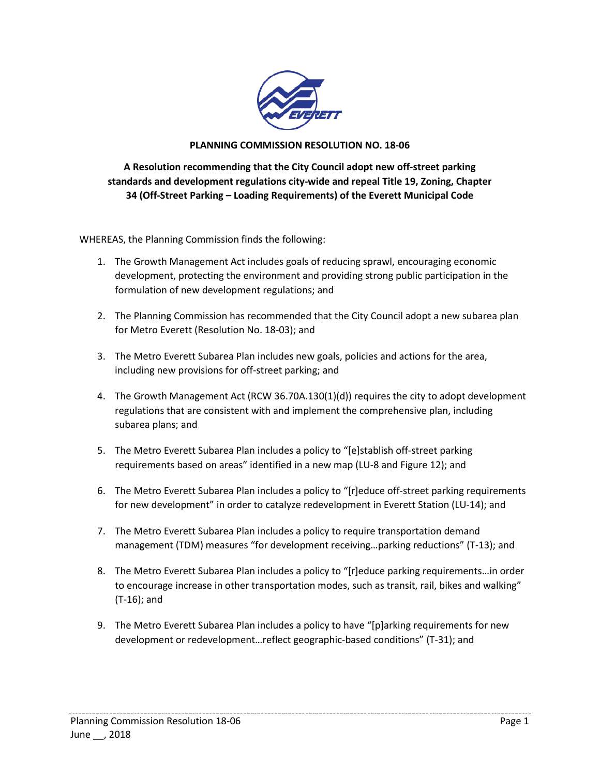

## **PLANNING COMMISSION RESOLUTION NO. 18-06**

**A Resolution recommending that the City Council adopt new off-street parking standards and development regulations city-wide and repeal Title 19, Zoning, Chapter 34 (Off-Street Parking – Loading Requirements) of the Everett Municipal Code**

WHEREAS, the Planning Commission finds the following:

- 1. The Growth Management Act includes goals of reducing sprawl, encouraging economic development, protecting the environment and providing strong public participation in the formulation of new development regulations; and
- 2. The Planning Commission has recommended that the City Council adopt a new subarea plan for Metro Everett (Resolution No. 18-03); and
- 3. The Metro Everett Subarea Plan includes new goals, policies and actions for the area, including new provisions for off-street parking; and
- 4. The Growth Management Act (RCW 36.70A.130(1)(d)) requires the city to adopt development regulations that are consistent with and implement the comprehensive plan, including subarea plans; and
- 5. The Metro Everett Subarea Plan includes a policy to "[e]stablish off-street parking requirements based on areas" identified in a new map (LU-8 and Figure 12); and
- 6. The Metro Everett Subarea Plan includes a policy to "[r]educe off-street parking requirements for new development" in order to catalyze redevelopment in Everett Station (LU-14); and
- 7. The Metro Everett Subarea Plan includes a policy to require transportation demand management (TDM) measures "for development receiving…parking reductions" (T-13); and
- 8. The Metro Everett Subarea Plan includes a policy to "[r]educe parking requirements…in order to encourage increase in other transportation modes, such as transit, rail, bikes and walking" (T-16); and
- 9. The Metro Everett Subarea Plan includes a policy to have "[p]arking requirements for new development or redevelopment…reflect geographic-based conditions" (T-31); and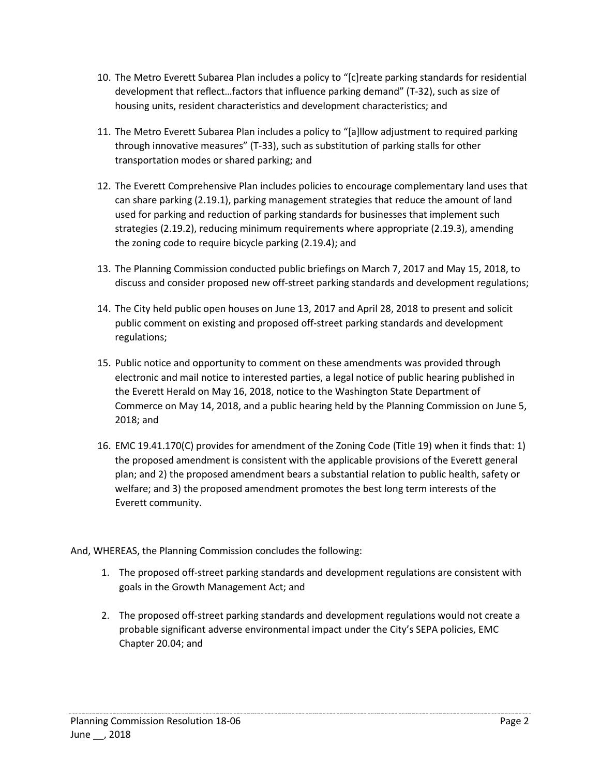- 10. The Metro Everett Subarea Plan includes a policy to "[c]reate parking standards for residential development that reflect…factors that influence parking demand" (T-32), such as size of housing units, resident characteristics and development characteristics; and
- 11. The Metro Everett Subarea Plan includes a policy to "[a]llow adjustment to required parking through innovative measures" (T-33), such as substitution of parking stalls for other transportation modes or shared parking; and
- 12. The Everett Comprehensive Plan includes policies to encourage complementary land uses that can share parking (2.19.1), parking management strategies that reduce the amount of land used for parking and reduction of parking standards for businesses that implement such strategies (2.19.2), reducing minimum requirements where appropriate (2.19.3), amending the zoning code to require bicycle parking (2.19.4); and
- 13. The Planning Commission conducted public briefings on March 7, 2017 and May 15, 2018, to discuss and consider proposed new off-street parking standards and development regulations;
- 14. The City held public open houses on June 13, 2017 and April 28, 2018 to present and solicit public comment on existing and proposed off-street parking standards and development regulations;
- 15. Public notice and opportunity to comment on these amendments was provided through electronic and mail notice to interested parties, a legal notice of public hearing published in the Everett Herald on May 16, 2018, notice to the Washington State Department of Commerce on May 14, 2018, and a public hearing held by the Planning Commission on June 5, 2018; and
- 16. EMC 19.41.170(C) provides for amendment of the Zoning Code (Title 19) when it finds that: 1) the proposed amendment is consistent with the applicable provisions of the Everett general plan; and 2) the proposed amendment bears a substantial relation to public health, safety or welfare; and 3) the proposed amendment promotes the best long term interests of the Everett community.

And, WHEREAS, the Planning Commission concludes the following:

- 1. The proposed off-street parking standards and development regulations are consistent with goals in the Growth Management Act; and
- 2. The proposed off-street parking standards and development regulations would not create a probable significant adverse environmental impact under the City's SEPA policies, EMC Chapter 20.04; and